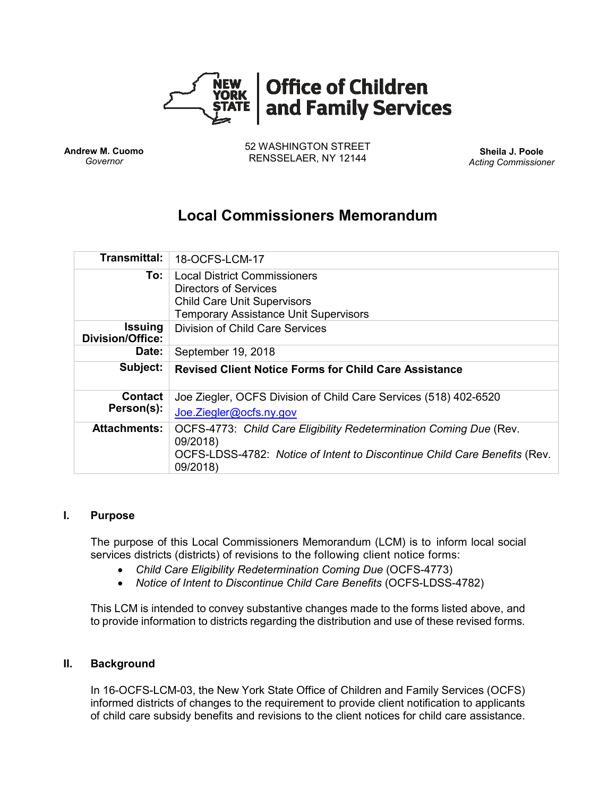

**Andrew M. Cuomo** *Governor*

52 WASHINGTON STREET RENSSELAER, NY 12144 **Sheila J. Poole**

*Acting Commissioner*

# **Local Commissioners Memorandum**

| <b>Transmittal:</b>                | 18-OCFS-LCM-17                                                                                                                                                          |
|------------------------------------|-------------------------------------------------------------------------------------------------------------------------------------------------------------------------|
| To:                                | <b>Local District Commissioners</b><br><b>Directors of Services</b><br><b>Child Care Unit Supervisors</b><br><b>Temporary Assistance Unit Supervisors</b>               |
| Issuing<br><b>Division/Office:</b> | Division of Child Care Services                                                                                                                                         |
| Date:                              | September 19, 2018                                                                                                                                                      |
| Subject:                           | <b>Revised Client Notice Forms for Child Care Assistance</b>                                                                                                            |
| <b>Contact</b><br>Person(s):       | Joe Ziegler, OCFS Division of Child Care Services (518) 402-6520                                                                                                        |
|                                    | Joe.Ziegler@ocfs.ny.gov                                                                                                                                                 |
| <b>Attachments:</b>                | OCFS-4773: Child Care Eligibility Redetermination Coming Due (Rev.<br>09/2018)<br>OCFS-LDSS-4782: Notice of Intent to Discontinue Child Care Benefits (Rev.<br>09/2018) |

#### **I. Purpose**

The purpose of this Local Commissioners Memorandum (LCM) is to inform local social services districts (districts) of revisions to the following client notice forms:

- *Child Care Eligibility Redetermination Coming Due* (OCFS-4773)
- *Notice of Intent to Discontinue Child Care Benefits* (OCFS-LDSS-4782)

This LCM is intended to convey substantive changes made to the forms listed above, and to provide information to districts regarding the distribution and use of these revised forms.

## **II. Background**

In 16-OCFS-LCM-03, the New York State Office of Children and Family Services (OCFS) informed districts of changes to the requirement to provide client notification to applicants of child care subsidy benefits and revisions to the client notices for child care assistance.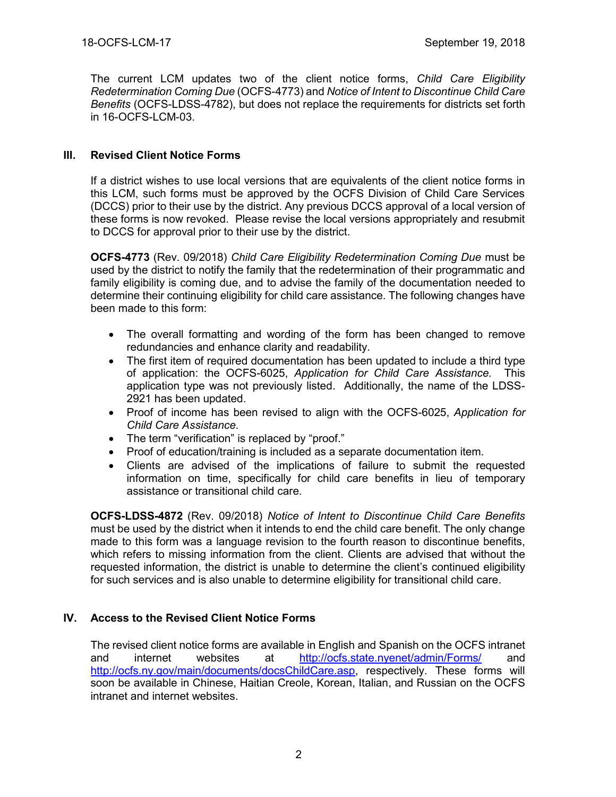The current LCM updates two of the client notice forms, *Child Care Eligibility Redetermination Coming Due* (OCFS-4773) and *Notice of Intent to Discontinue Child Care Benefits* (OCFS-LDSS-4782), but does not replace the requirements for districts set forth in 16-OCFS-LCM-03.

# **III. Revised Client Notice Forms**

If a district wishes to use local versions that are equivalents of the client notice forms in this LCM, such forms must be approved by the OCFS Division of Child Care Services (DCCS) prior to their use by the district. Any previous DCCS approval of a local version of these forms is now revoked. Please revise the local versions appropriately and resubmit to DCCS for approval prior to their use by the district.

**OCFS-4773** (Rev. 09/2018) *Child Care Eligibility Redetermination Coming Due* must be used by the district to notify the family that the redetermination of their programmatic and family eligibility is coming due, and to advise the family of the documentation needed to determine their continuing eligibility for child care assistance. The following changes have been made to this form:

- The overall formatting and wording of the form has been changed to remove redundancies and enhance clarity and readability.
- The first item of required documentation has been updated to include a third type of application: the OCFS-6025, *Application for Child Care Assistance.* This application type was not previously listed. Additionally, the name of the LDSS-2921 has been updated.
- Proof of income has been revised to align with the OCFS-6025, *Application for Child Care Assistance*.
- The term "verification" is replaced by "proof."
- Proof of education/training is included as a separate documentation item.
- Clients are advised of the implications of failure to submit the requested information on time, specifically for child care benefits in lieu of temporary assistance or transitional child care.

**OCFS-LDSS-4872** (Rev. 09/2018) *Notice of Intent to Discontinue Child Care Benefits* must be used by the district when it intends to end the child care benefit. The only change made to this form was a language revision to the fourth reason to discontinue benefits, which refers to missing information from the client. Clients are advised that without the requested information, the district is unable to determine the client's continued eligibility for such services and is also unable to determine eligibility for transitional child care.

# **IV. Access to the Revised Client Notice Forms**

The revised client notice forms are available in English and Spanish on the OCFS intranet and internet websites at <http://ocfs.state.nyenet/admin/Forms/> and [http://ocfs.ny.gov/main/documents/docsChildCare.asp,](http://ocfs.ny.gov/main/documents/docsChildCare.asp) respectively. These forms will soon be available in Chinese, Haitian Creole, Korean, Italian, and Russian on the OCFS intranet and internet websites.